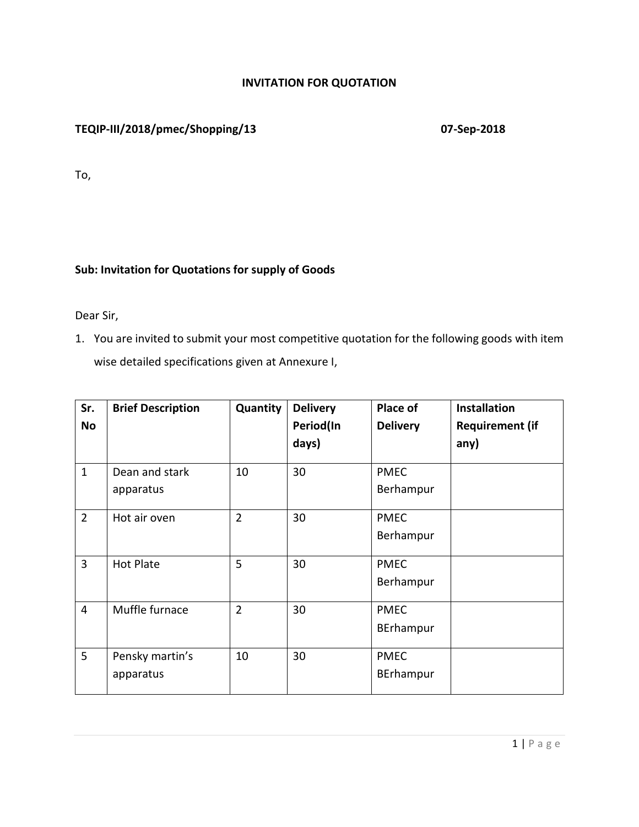## **INVITATION FOR QUOTATION**

# **TEQIP-III/2018/pmec/Shopping/13 07-Sep-2018**

To,

## **Sub: Invitation for Quotations for supply of Goods**

Dear Sir,

1. You are invited to submit your most competitive quotation for the following goods with item wise detailed specifications given at Annexure I,

| Sr.            | <b>Brief Description</b> | Quantity       | <b>Delivery</b> | Place of        | <b>Installation</b>    |
|----------------|--------------------------|----------------|-----------------|-----------------|------------------------|
| <b>No</b>      |                          |                | Period(In       | <b>Delivery</b> | <b>Requirement (if</b> |
|                |                          |                | days)           |                 | any)                   |
| $\mathbf{1}$   | Dean and stark           | 10             | 30              | <b>PMEC</b>     |                        |
|                | apparatus                |                |                 | Berhampur       |                        |
| $\overline{2}$ | Hot air oven             | $\overline{2}$ | 30              | <b>PMEC</b>     |                        |
|                |                          |                |                 | Berhampur       |                        |
| $\overline{3}$ | Hot Plate                | 5              | 30              | <b>PMEC</b>     |                        |
|                |                          |                |                 | Berhampur       |                        |
| $\overline{4}$ | Muffle furnace           | $\overline{2}$ | 30              | <b>PMEC</b>     |                        |
|                |                          |                |                 | BErhampur       |                        |
| 5              | Pensky martin's          | 10             | 30              | <b>PMEC</b>     |                        |
|                | apparatus                |                |                 | BErhampur       |                        |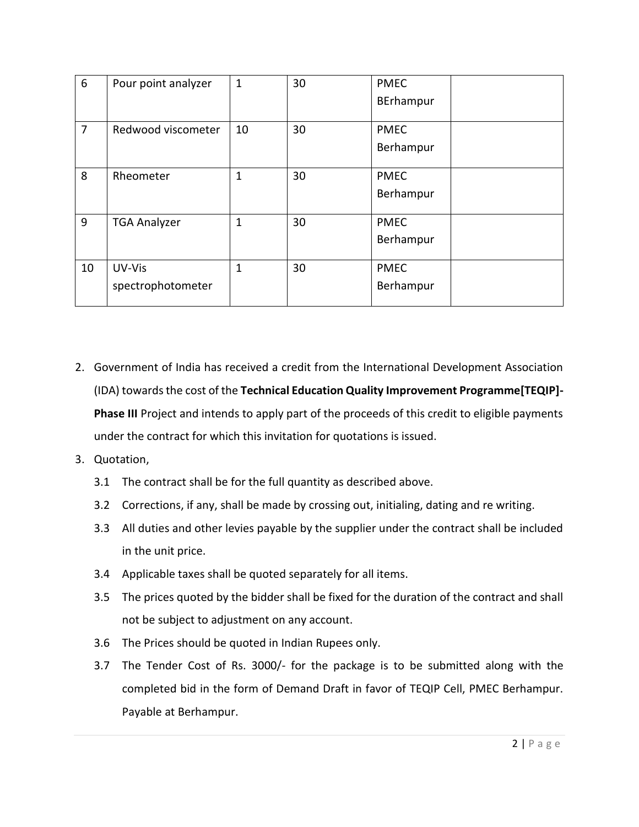| $6\phantom{1}6$ | Pour point analyzer         | $\mathbf{1}$ | 30 | <b>PMEC</b><br>BErhampur |  |
|-----------------|-----------------------------|--------------|----|--------------------------|--|
| 7               | Redwood viscometer          | 10           | 30 | <b>PMEC</b><br>Berhampur |  |
| 8               | Rheometer                   | 1            | 30 | <b>PMEC</b><br>Berhampur |  |
| 9               | <b>TGA Analyzer</b>         | 1            | 30 | <b>PMEC</b><br>Berhampur |  |
| 10              | UV-Vis<br>spectrophotometer | $\mathbf{1}$ | 30 | <b>PMEC</b><br>Berhampur |  |

- 2. Government of India has received a credit from the International Development Association (IDA) towards the cost of the **Technical Education Quality Improvement Programme[TEQIP]- Phase III** Project and intends to apply part of the proceeds of this credit to eligible payments under the contract for which this invitation for quotations is issued.
- 3. Quotation,
	- 3.1 The contract shall be for the full quantity as described above.
	- 3.2 Corrections, if any, shall be made by crossing out, initialing, dating and re writing.
	- 3.3 All duties and other levies payable by the supplier under the contract shall be included in the unit price.
	- 3.4 Applicable taxes shall be quoted separately for all items.
	- 3.5 The prices quoted by the bidder shall be fixed for the duration of the contract and shall not be subject to adjustment on any account.
	- 3.6 The Prices should be quoted in Indian Rupees only.
	- 3.7 The Tender Cost of Rs. 3000/- for the package is to be submitted along with the completed bid in the form of Demand Draft in favor of TEQIP Cell, PMEC Berhampur. Payable at Berhampur.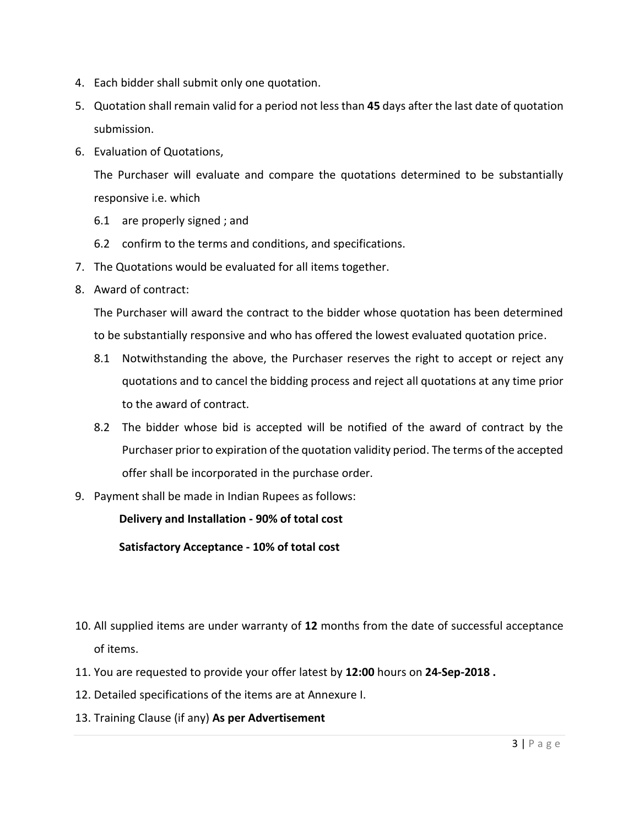- 4. Each bidder shall submit only one quotation.
- 5. Quotation shall remain valid for a period not less than **45** days after the last date of quotation submission.
- 6. Evaluation of Quotations,

The Purchaser will evaluate and compare the quotations determined to be substantially responsive i.e. which

- 6.1 are properly signed ; and
- 6.2 confirm to the terms and conditions, and specifications.
- 7. The Quotations would be evaluated for all items together.
- 8. Award of contract:

The Purchaser will award the contract to the bidder whose quotation has been determined to be substantially responsive and who has offered the lowest evaluated quotation price.

- 8.1 Notwithstanding the above, the Purchaser reserves the right to accept or reject any quotations and to cancel the bidding process and reject all quotations at any time prior to the award of contract.
- 8.2 The bidder whose bid is accepted will be notified of the award of contract by the Purchaser prior to expiration of the quotation validity period. The terms of the accepted offer shall be incorporated in the purchase order.
- 9. Payment shall be made in Indian Rupees as follows:

**Delivery and Installation - 90% of total cost**

**Satisfactory Acceptance - 10% of total cost**

- 10. All supplied items are under warranty of **12** months from the date of successful acceptance of items.
- 11. You are requested to provide your offer latest by **12:00** hours on **24-Sep-2018 .**
- 12. Detailed specifications of the items are at Annexure I.
- 13. Training Clause (if any) **As per Advertisement**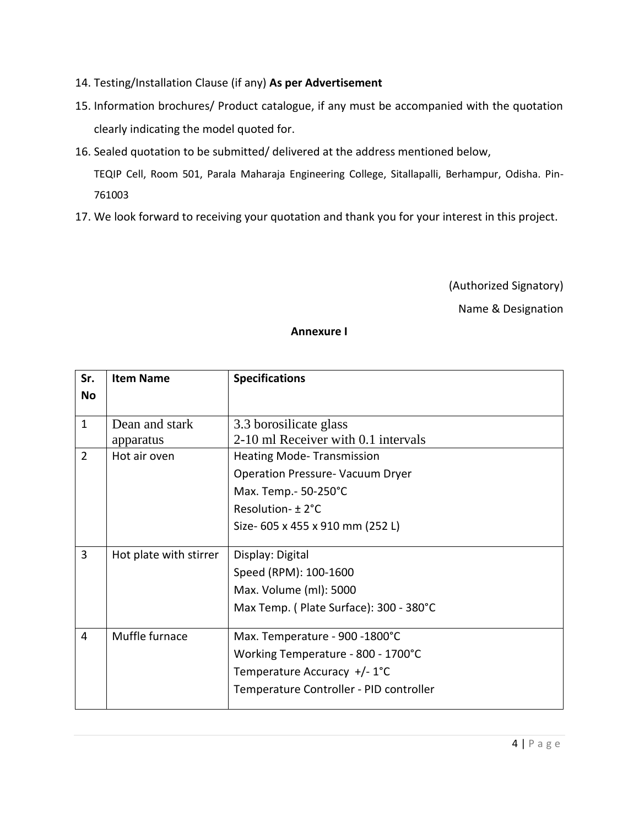- 14. Testing/Installation Clause (if any) **As per Advertisement**
- 15. Information brochures/ Product catalogue, if any must be accompanied with the quotation clearly indicating the model quoted for.
- 16. Sealed quotation to be submitted/ delivered at the address mentioned below,

TEQIP Cell, Room 501, Parala Maharaja Engineering College, Sitallapalli, Berhampur, Odisha. Pin-761003

17. We look forward to receiving your quotation and thank you for your interest in this project.

(Authorized Signatory)

Name & Designation

### **Annexure I**

| Sr.            | <b>Item Name</b>          | <b>Specifications</b>                                         |
|----------------|---------------------------|---------------------------------------------------------------|
| <b>No</b>      |                           |                                                               |
|                |                           |                                                               |
| $\mathbf{1}$   | Dean and stark            | 3.3 borosilicate glass<br>2-10 ml Receiver with 0.1 intervals |
| $\overline{2}$ | apparatus<br>Hot air oven | <b>Heating Mode-Transmission</b>                              |
|                |                           |                                                               |
|                |                           | <b>Operation Pressure- Vacuum Dryer</b>                       |
|                |                           | Max. Temp.- 50-250°C                                          |
|                |                           | Resolution- ± 2°C                                             |
|                |                           | Size- 605 x 455 x 910 mm (252 L)                              |
|                |                           |                                                               |
| 3              | Hot plate with stirrer    | Display: Digital                                              |
|                |                           | Speed (RPM): 100-1600                                         |
|                |                           | Max. Volume (ml): 5000                                        |
|                |                           | Max Temp. (Plate Surface): 300 - 380°C                        |
|                |                           |                                                               |
| $\overline{4}$ | Muffle furnace            | Max. Temperature - 900 -1800°C                                |
|                |                           | Working Temperature - 800 - 1700°C                            |
|                |                           | Temperature Accuracy +/-1°C                                   |
|                |                           | Temperature Controller - PID controller                       |
|                |                           |                                                               |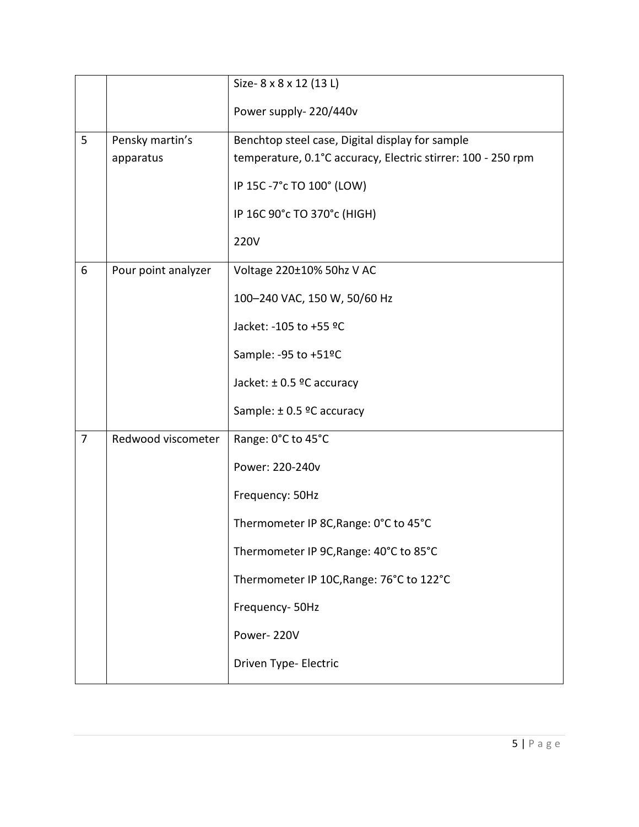|   |                     | Size-8 x 8 x 12 (13 L)                                       |
|---|---------------------|--------------------------------------------------------------|
|   |                     | Power supply-220/440v                                        |
| 5 | Pensky martin's     | Benchtop steel case, Digital display for sample              |
|   | apparatus           | temperature, 0.1°C accuracy, Electric stirrer: 100 - 250 rpm |
|   |                     | IP 15C -7°c TO 100° (LOW)                                    |
|   |                     | IP 16C 90°c TO 370°c (HIGH)                                  |
|   |                     | 220V                                                         |
| 6 | Pour point analyzer | Voltage 220±10% 50hz V AC                                    |
|   |                     | 100-240 VAC, 150 W, 50/60 Hz                                 |
|   |                     | Jacket: -105 to +55 °C                                       |
|   |                     | Sample: - 95 to +51°C                                        |
|   |                     | Jacket: $\pm$ 0.5 °C accuracy                                |
|   |                     | Sample: ± 0.5 ºC accuracy                                    |
| 7 | Redwood viscometer  | Range: 0°C to 45°C                                           |
|   |                     | Power: 220-240v                                              |
|   |                     | Frequency: 50Hz                                              |
|   |                     | Thermometer IP 8C, Range: 0°C to 45°C                        |
|   |                     | Thermometer IP 9C, Range: 40°C to 85°C                       |
|   |                     | Thermometer IP 10C, Range: 76°C to 122°C                     |
|   |                     | Frequency- 50Hz                                              |
|   |                     | Power-220V                                                   |
|   |                     | Driven Type- Electric                                        |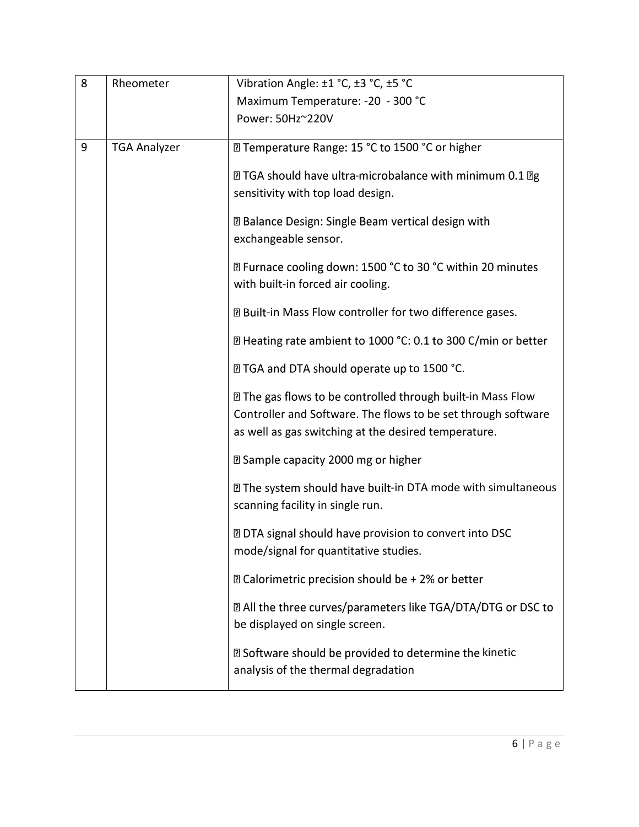| 8 | Rheometer           | Vibration Angle: ±1 °C, ±3 °C, ±5 °C                                                                                                                                                     |  |
|---|---------------------|------------------------------------------------------------------------------------------------------------------------------------------------------------------------------------------|--|
|   |                     | Maximum Temperature: - 20 - 300 °C                                                                                                                                                       |  |
|   |                     | Power: 50Hz~220V                                                                                                                                                                         |  |
| 9 | <b>TGA Analyzer</b> | sqrt2 Temperature Range: 15 °C to 1500 °C or higher                                                                                                                                      |  |
|   |                     | <b>Z TGA should have ultra-microbalance with minimum 0.1 Zg</b><br>sensitivity with top load design.                                                                                     |  |
|   |                     | <b>Z Balance Design: Single Beam vertical design with</b><br>exchangeable sensor.                                                                                                        |  |
|   |                     | <b>sqrt8 Furnace cooling down: 1500 °C to 30 °C within 20 minutes</b><br>with built-in forced air cooling.                                                                               |  |
|   |                     | <b>Z Built-in Mass Flow controller for two difference gases.</b>                                                                                                                         |  |
|   |                     | sqrt2 Heating rate ambient to 1000 °C: 0.1 to 300 C/min or better                                                                                                                        |  |
|   |                     | <b>2 TGA and DTA should operate up to 1500 °C.</b>                                                                                                                                       |  |
|   |                     | sqrt2 The gas flows to be controlled through built-in Mass Flow<br>Controller and Software. The flows to be set through software<br>as well as gas switching at the desired temperature. |  |
|   |                     | <b>sqrt Sample capacity 2000 mg or higher</b>                                                                                                                                            |  |
|   |                     | I The system should have built-in DTA mode with simultaneous<br>scanning facility in single run.                                                                                         |  |
|   |                     | <b>DED DTA</b> signal should have provision to convert into DSC<br>mode/signal for quantitative studies.                                                                                 |  |
|   |                     | <b>sqrt22 Calorimetric precision should be + 2% or better</b>                                                                                                                            |  |
|   |                     | 2 All the three curves/parameters like TGA/DTA/DTG or DSC to<br>be displayed on single screen.                                                                                           |  |
|   |                     | ■ Software should be provided to determine the kinetic<br>analysis of the thermal degradation                                                                                            |  |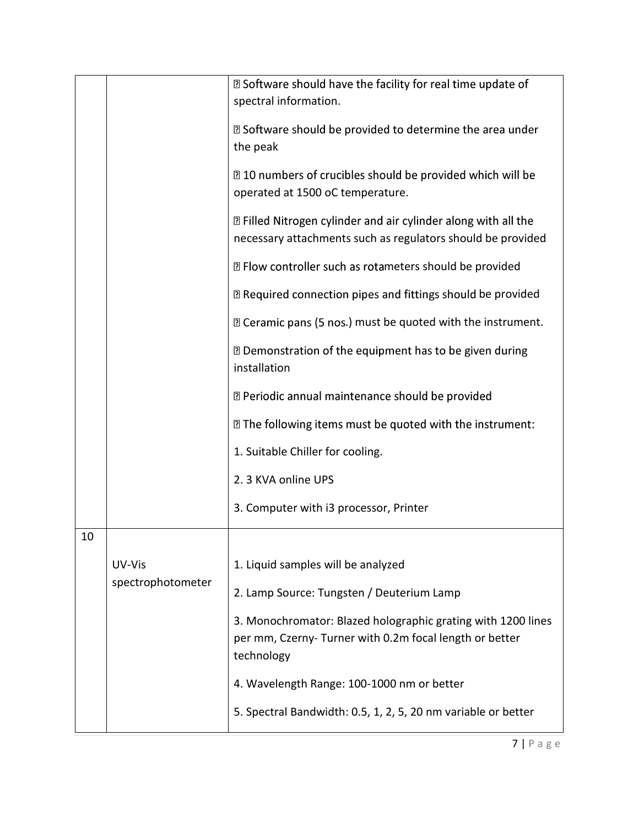|    |                   | <b>sqrt859 Software should have the facility for real time update of</b><br>spectral information.                                     |
|----|-------------------|---------------------------------------------------------------------------------------------------------------------------------------|
|    |                   | <b>sqrt859 Software should be provided to determine the area under</b><br>the peak                                                    |
|    |                   | <b>sqrt</b> 10 numbers of crucibles should be provided which will be<br>operated at 1500 oC temperature.                              |
|    |                   | <b>Z</b> Filled Nitrogen cylinder and air cylinder along with all the<br>necessary attachments such as regulators should be provided  |
|    |                   | <b>sqrtmom</b> Plow controller such as rotameters should be provided                                                                  |
|    |                   | sqrtR} Required connection pipes and fittings should be provided                                                                      |
|    |                   | <b>sqrtmage Contact Convertional Convertional Convertional Converting Convertional Convertional Convertion</b>                        |
|    |                   | <b>sqrtmongole of the equipment has to be given during a</b><br>installation                                                          |
|    |                   | 7 Periodic annual maintenance should be provided                                                                                      |
|    |                   | <b>If</b> The following items must be quoted with the instrument:                                                                     |
|    |                   | 1. Suitable Chiller for cooling.                                                                                                      |
|    |                   | 2.3 KVA online UPS                                                                                                                    |
|    |                   | 3. Computer with i3 processor, Printer                                                                                                |
| 10 |                   |                                                                                                                                       |
|    | UV-Vis            | 1. Liquid samples will be analyzed                                                                                                    |
|    | spectrophotometer | 2. Lamp Source: Tungsten / Deuterium Lamp                                                                                             |
|    |                   | 3. Monochromator: Blazed holographic grating with 1200 lines<br>per mm, Czerny- Turner with 0.2m focal length or better<br>technology |
|    |                   | 4. Wavelength Range: 100-1000 nm or better                                                                                            |
|    |                   | 5. Spectral Bandwidth: 0.5, 1, 2, 5, 20 nm variable or better                                                                         |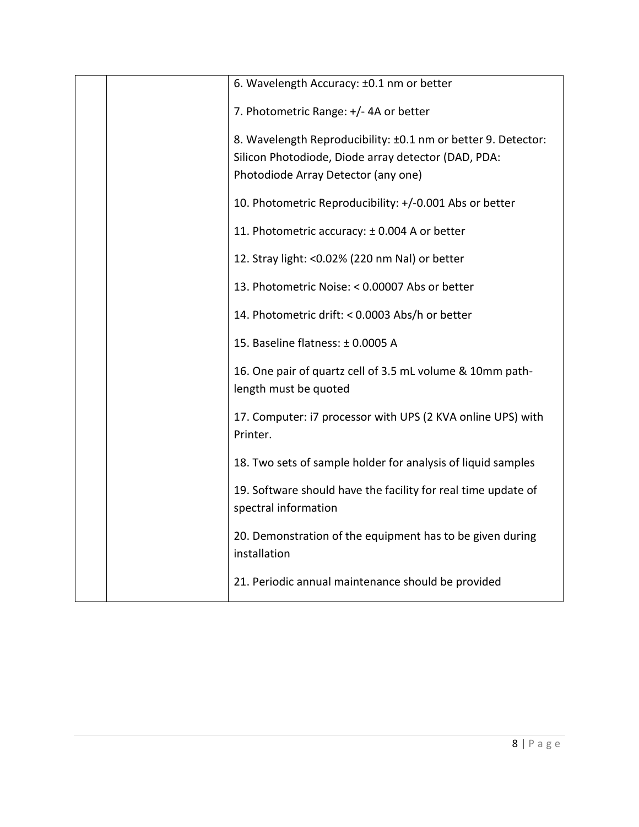|  | 6. Wavelength Accuracy: ±0.1 nm or better                                                                                                                   |
|--|-------------------------------------------------------------------------------------------------------------------------------------------------------------|
|  | 7. Photometric Range: +/- 4A or better                                                                                                                      |
|  | 8. Wavelength Reproducibility: ±0.1 nm or better 9. Detector:<br>Silicon Photodiode, Diode array detector (DAD, PDA:<br>Photodiode Array Detector (any one) |
|  | 10. Photometric Reproducibility: +/-0.001 Abs or better                                                                                                     |
|  | 11. Photometric accuracy: ± 0.004 A or better                                                                                                               |
|  | 12. Stray light: < 0.02% (220 nm Nal) or better                                                                                                             |
|  | 13. Photometric Noise: < 0.00007 Abs or better                                                                                                              |
|  | 14. Photometric drift: < 0.0003 Abs/h or better                                                                                                             |
|  | 15. Baseline flatness: ± 0.0005 A                                                                                                                           |
|  | 16. One pair of quartz cell of 3.5 mL volume & 10mm path-<br>length must be quoted                                                                          |
|  | 17. Computer: i7 processor with UPS (2 KVA online UPS) with<br>Printer.                                                                                     |
|  | 18. Two sets of sample holder for analysis of liquid samples                                                                                                |
|  | 19. Software should have the facility for real time update of<br>spectral information                                                                       |
|  | 20. Demonstration of the equipment has to be given during<br>installation                                                                                   |
|  | 21. Periodic annual maintenance should be provided                                                                                                          |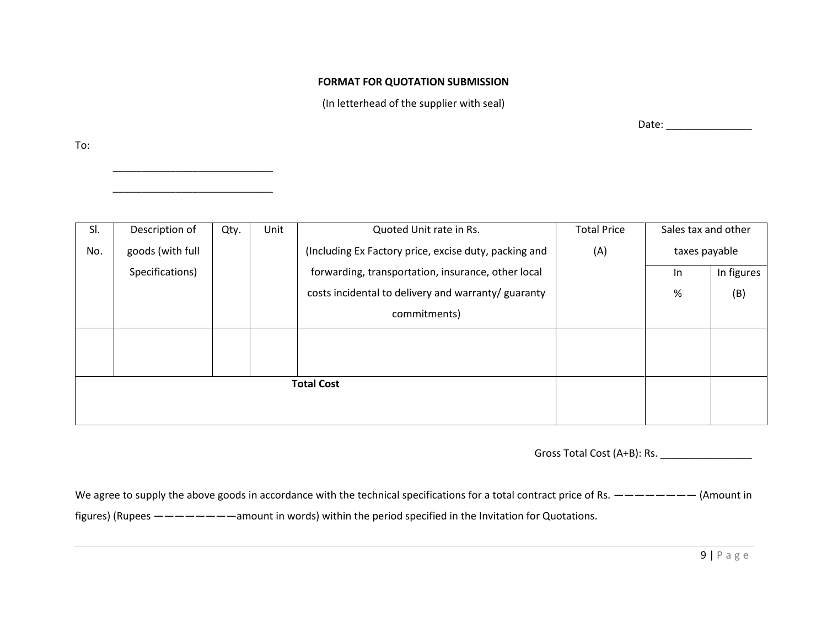#### **FORMAT FOR QUOTATION SUBMISSION**

(In letterhead of the supplier with seal)

To:

\_\_\_\_\_\_\_\_\_\_\_\_\_\_\_\_\_\_\_\_\_\_\_\_\_\_\_\_

\_\_\_\_\_\_\_\_\_\_\_\_\_\_\_\_\_\_\_\_\_\_\_\_\_\_\_\_

Date: \_\_\_\_\_\_\_\_\_\_\_\_\_\_\_

| SI.               | Description of   | Qty. | Unit | Quoted Unit rate in Rs.                               | <b>Total Price</b> | Sales tax and other |     |
|-------------------|------------------|------|------|-------------------------------------------------------|--------------------|---------------------|-----|
| No.               | goods (with full |      |      | (Including Ex Factory price, excise duty, packing and | (A)                | taxes payable       |     |
|                   | Specifications)  |      |      | forwarding, transportation, insurance, other local    |                    | In figures<br>-In   |     |
|                   |                  |      |      | costs incidental to delivery and warranty/ guaranty   |                    | %                   | (B) |
|                   |                  |      |      | commitments)                                          |                    |                     |     |
|                   |                  |      |      |                                                       |                    |                     |     |
|                   |                  |      |      |                                                       |                    |                     |     |
| <b>Total Cost</b> |                  |      |      |                                                       |                    |                     |     |
|                   |                  |      |      |                                                       |                    |                     |     |
|                   |                  |      |      |                                                       |                    |                     |     |

Gross Total Cost (A+B): Rs. \_\_\_\_\_\_\_\_\_\_\_\_\_\_\_\_

We agree to supply the above goods in accordance with the technical specifications for a total contract price of Rs. ———————— (Amount in figures) (Rupees ————————amount in words) within the period specified in the Invitation for Quotations.